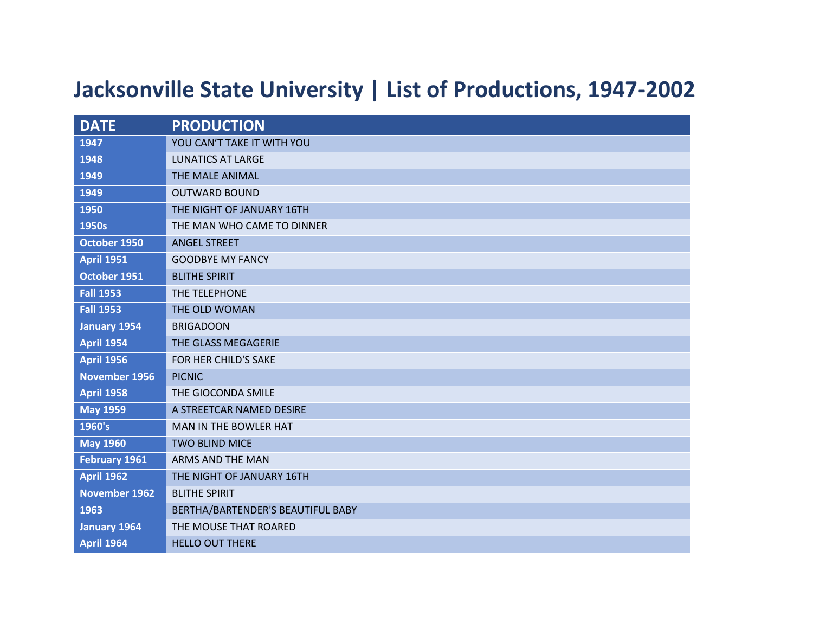## **Jacksonville State University | List of Productions, 1947-2002**

| <b>DATE</b>          | <b>PRODUCTION</b>                 |
|----------------------|-----------------------------------|
| 1947                 | YOU CAN'T TAKE IT WITH YOU        |
| 1948                 | <b>LUNATICS AT LARGE</b>          |
| 1949                 | THE MALE ANIMAL                   |
| 1949                 | <b>OUTWARD BOUND</b>              |
| 1950                 | THE NIGHT OF JANUARY 16TH         |
| 1950s                | THE MAN WHO CAME TO DINNER        |
| October 1950         | <b>ANGEL STREET</b>               |
| <b>April 1951</b>    | <b>GOODBYE MY FANCY</b>           |
| October 1951         | <b>BLITHE SPIRIT</b>              |
| <b>Fall 1953</b>     | THE TELEPHONE                     |
| <b>Fall 1953</b>     | THE OLD WOMAN                     |
| January 1954         | <b>BRIGADOON</b>                  |
| <b>April 1954</b>    | THE GLASS MEGAGERIE               |
| <b>April 1956</b>    | FOR HER CHILD'S SAKE              |
| November 1956        | <b>PICNIC</b>                     |
| <b>April 1958</b>    | THE GIOCONDA SMILE                |
| <b>May 1959</b>      | A STREETCAR NAMED DESIRE          |
| 1960's               | MAN IN THE BOWLER HAT             |
| <b>May 1960</b>      | <b>TWO BLIND MICE</b>             |
| <b>February 1961</b> | ARMS AND THE MAN                  |
| <b>April 1962</b>    | THE NIGHT OF JANUARY 16TH         |
| <b>November 1962</b> | <b>BLITHE SPIRIT</b>              |
| 1963                 | BERTHA/BARTENDER'S BEAUTIFUL BABY |
| January 1964         | THE MOUSE THAT ROARED             |
| <b>April 1964</b>    | <b>HELLO OUT THERE</b>            |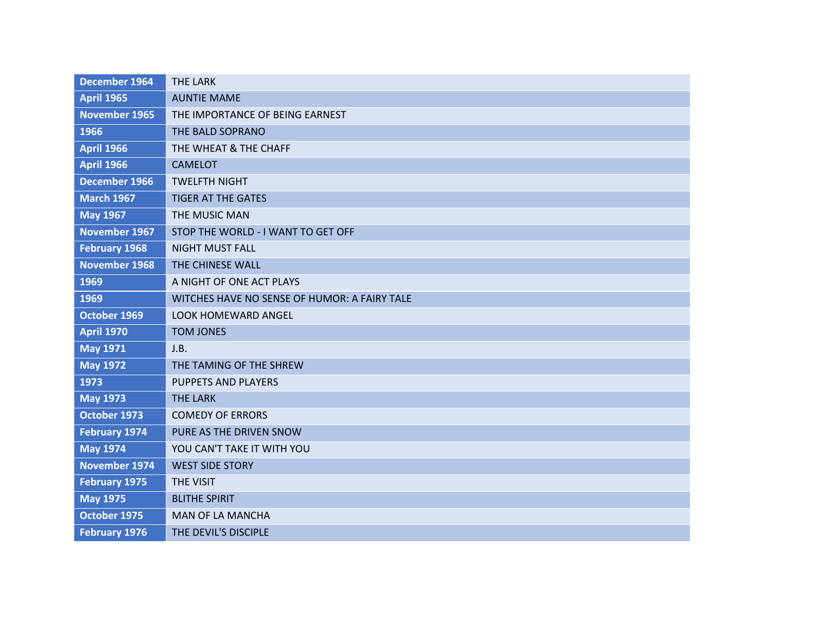| December 1964        | <b>THE LARK</b>                              |
|----------------------|----------------------------------------------|
| <b>April 1965</b>    | <b>AUNTIE MAME</b>                           |
| <b>November 1965</b> | THE IMPORTANCE OF BEING EARNEST              |
| 1966                 | THE BALD SOPRANO                             |
| <b>April 1966</b>    | THE WHEAT & THE CHAFF                        |
| <b>April 1966</b>    | <b>CAMELOT</b>                               |
| December 1966        | <b>TWELFTH NIGHT</b>                         |
| <b>March 1967</b>    | <b>TIGER AT THE GATES</b>                    |
| <b>May 1967</b>      | THE MUSIC MAN                                |
| November 1967        | STOP THE WORLD - I WANT TO GET OFF           |
| <b>February 1968</b> | <b>NIGHT MUST FALL</b>                       |
| <b>November 1968</b> | THE CHINESE WALL                             |
| 1969                 | A NIGHT OF ONE ACT PLAYS                     |
| 1969                 | WITCHES HAVE NO SENSE OF HUMOR: A FAIRY TALE |
| October 1969         | LOOK HOMEWARD ANGEL                          |
| <b>April 1970</b>    | <b>TOM JONES</b>                             |
| <b>May 1971</b>      | J.B.                                         |
| <b>May 1972</b>      | THE TAMING OF THE SHREW                      |
| 1973                 | PUPPETS AND PLAYERS                          |
| <b>May 1973</b>      | <b>THE LARK</b>                              |
| October 1973         | <b>COMEDY OF ERRORS</b>                      |
| <b>February 1974</b> | PURE AS THE DRIVEN SNOW                      |
| <b>May 1974</b>      | YOU CAN'T TAKE IT WITH YOU                   |
| November 1974        | <b>WEST SIDE STORY</b>                       |
| <b>February 1975</b> | THE VISIT                                    |
| <b>May 1975</b>      | <b>BLITHE SPIRIT</b>                         |
| October 1975         | <b>MAN OF LA MANCHA</b>                      |
| <b>February 1976</b> | THE DEVIL'S DISCIPLE                         |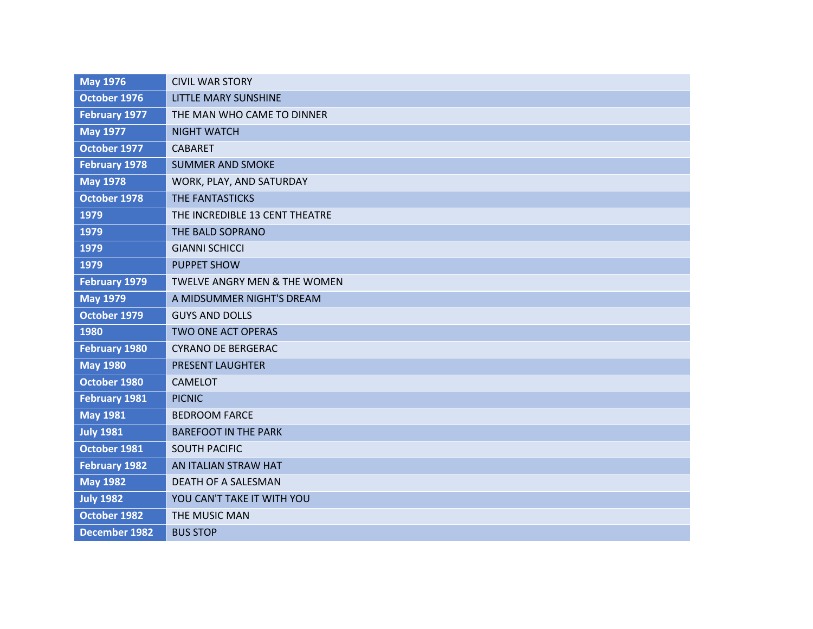| <b>May 1976</b>      | <b>CIVIL WAR STORY</b>                  |
|----------------------|-----------------------------------------|
| October 1976         | LITTLE MARY SUNSHINE                    |
| <b>February 1977</b> | THE MAN WHO CAME TO DINNER              |
| <b>May 1977</b>      | <b>NIGHT WATCH</b>                      |
| October 1977         | <b>CABARET</b>                          |
| <b>February 1978</b> | <b>SUMMER AND SMOKE</b>                 |
| <b>May 1978</b>      | WORK, PLAY, AND SATURDAY                |
| October 1978         | THE FANTASTICKS                         |
| 1979                 | THE INCREDIBLE 13 CENT THEATRE          |
| 1979                 | THE BALD SOPRANO                        |
| 1979                 | <b>GIANNI SCHICCI</b>                   |
| 1979                 | <b>PUPPET SHOW</b>                      |
| <b>February 1979</b> | <b>TWELVE ANGRY MEN &amp; THE WOMEN</b> |
| <b>May 1979</b>      | A MIDSUMMER NIGHT'S DREAM               |
| October 1979         | <b>GUYS AND DOLLS</b>                   |
| 1980                 | TWO ONE ACT OPERAS                      |
| <b>February 1980</b> | <b>CYRANO DE BERGERAC</b>               |
| <b>May 1980</b>      | <b>PRESENT LAUGHTER</b>                 |
| October 1980         | CAMELOT                                 |
| <b>February 1981</b> | <b>PICNIC</b>                           |
| <b>May 1981</b>      | <b>BEDROOM FARCE</b>                    |
| <b>July 1981</b>     | <b>BAREFOOT IN THE PARK</b>             |
| October 1981         | <b>SOUTH PACIFIC</b>                    |
| <b>February 1982</b> | AN ITALIAN STRAW HAT                    |
| <b>May 1982</b>      | <b>DEATH OF A SALESMAN</b>              |
| <b>July 1982</b>     | YOU CAN'T TAKE IT WITH YOU              |
| October 1982         | THE MUSIC MAN                           |
| <b>December 1982</b> | <b>BUS STOP</b>                         |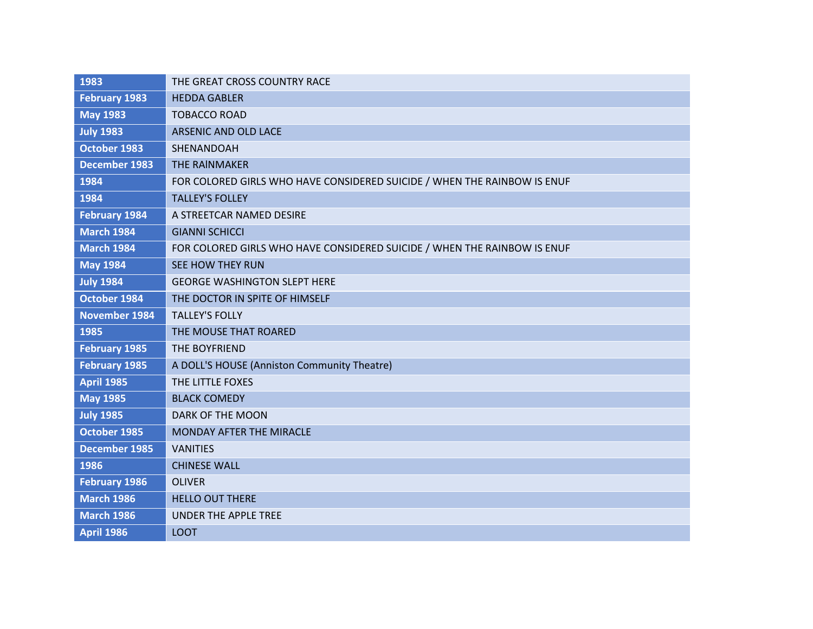| 1983                 | THE GREAT CROSS COUNTRY RACE                                             |
|----------------------|--------------------------------------------------------------------------|
| <b>February 1983</b> | <b>HEDDA GABLER</b>                                                      |
| <b>May 1983</b>      | <b>TOBACCO ROAD</b>                                                      |
| <b>July 1983</b>     | ARSENIC AND OLD LACE                                                     |
| October 1983         | SHENANDOAH                                                               |
| <b>December 1983</b> | <b>THE RAINMAKER</b>                                                     |
| 1984                 | FOR COLORED GIRLS WHO HAVE CONSIDERED SUICIDE / WHEN THE RAINBOW IS ENUF |
| 1984                 | <b>TALLEY'S FOLLEY</b>                                                   |
| <b>February 1984</b> | A STREETCAR NAMED DESIRE                                                 |
| <b>March 1984</b>    | <b>GIANNI SCHICCI</b>                                                    |
| <b>March 1984</b>    | FOR COLORED GIRLS WHO HAVE CONSIDERED SUICIDE / WHEN THE RAINBOW IS ENUF |
| <b>May 1984</b>      | <b>SEE HOW THEY RUN</b>                                                  |
| <b>July 1984</b>     | <b>GEORGE WASHINGTON SLEPT HERE</b>                                      |
| October 1984         | THE DOCTOR IN SPITE OF HIMSELF                                           |
| November 1984        | <b>TALLEY'S FOLLY</b>                                                    |
| 1985                 | THE MOUSE THAT ROARED                                                    |
| <b>February 1985</b> | THE BOYFRIEND                                                            |
| <b>February 1985</b> | A DOLL'S HOUSE (Anniston Community Theatre)                              |
| <b>April 1985</b>    | THE LITTLE FOXES                                                         |
| <b>May 1985</b>      | <b>BLACK COMEDY</b>                                                      |
| <b>July 1985</b>     | DARK OF THE MOON                                                         |
| October 1985         | MONDAY AFTER THE MIRACLE                                                 |
| <b>December 1985</b> | <b>VANITIES</b>                                                          |
| 1986                 | <b>CHINESE WALL</b>                                                      |
| <b>February 1986</b> | <b>OLIVER</b>                                                            |
| <b>March 1986</b>    | <b>HELLO OUT THERE</b>                                                   |
| <b>March 1986</b>    | UNDER THE APPLE TREE                                                     |
| <b>April 1986</b>    | <b>LOOT</b>                                                              |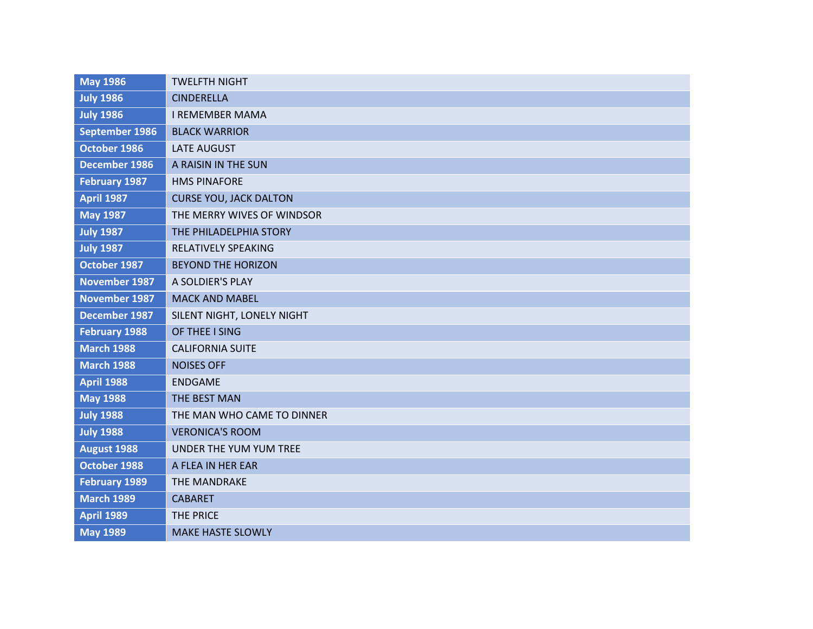| <b>May 1986</b>      | <b>TWELFTH NIGHT</b>          |
|----------------------|-------------------------------|
| <b>July 1986</b>     | <b>CINDERELLA</b>             |
| <b>July 1986</b>     | <b>I REMEMBER MAMA</b>        |
| September 1986       | <b>BLACK WARRIOR</b>          |
| October 1986         | <b>LATE AUGUST</b>            |
| December 1986        | A RAISIN IN THE SUN           |
| <b>February 1987</b> | <b>HMS PINAFORE</b>           |
| <b>April 1987</b>    | <b>CURSE YOU, JACK DALTON</b> |
| <b>May 1987</b>      | THE MERRY WIVES OF WINDSOR    |
| <b>July 1987</b>     | THE PHILADELPHIA STORY        |
| <b>July 1987</b>     | <b>RELATIVELY SPEAKING</b>    |
| October 1987         | <b>BEYOND THE HORIZON</b>     |
| November 1987        | A SOLDIER'S PLAY              |
| November 1987        | <b>MACK AND MABEL</b>         |
| December 1987        | SILENT NIGHT, LONELY NIGHT    |
| February 1988        | OF THEE I SING                |
| <b>March 1988</b>    | <b>CALIFORNIA SUITE</b>       |
| <b>March 1988</b>    | <b>NOISES OFF</b>             |
| <b>April 1988</b>    | <b>ENDGAME</b>                |
| <b>May 1988</b>      | THE BEST MAN                  |
| <b>July 1988</b>     | THE MAN WHO CAME TO DINNER    |
| <b>July 1988</b>     | <b>VERONICA'S ROOM</b>        |
| August 1988          | UNDER THE YUM YUM TREE        |
| October 1988         | A FLEA IN HER EAR             |
| <b>February 1989</b> | <b>THE MANDRAKE</b>           |
| <b>March 1989</b>    | <b>CABARET</b>                |
| <b>April 1989</b>    | THE PRICE                     |
| <b>May 1989</b>      | <b>MAKE HASTE SLOWLY</b>      |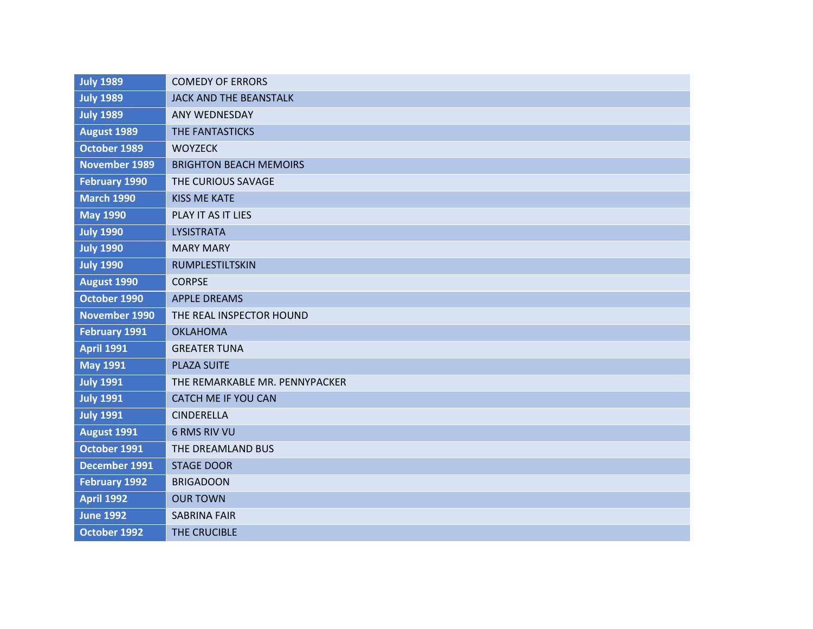| <b>July 1989</b>     | <b>COMEDY OF ERRORS</b>        |
|----------------------|--------------------------------|
| <b>July 1989</b>     | JACK AND THE BEANSTALK         |
| <b>July 1989</b>     | <b>ANY WEDNESDAY</b>           |
| August 1989          | THE FANTASTICKS                |
| October 1989         | <b>WOYZECK</b>                 |
| <b>November 1989</b> | <b>BRIGHTON BEACH MEMOIRS</b>  |
| <b>February 1990</b> | THE CURIOUS SAVAGE             |
| <b>March 1990</b>    | <b>KISS ME KATE</b>            |
| <b>May 1990</b>      | PLAY IT AS IT LIES             |
| <b>July 1990</b>     | <b>LYSISTRATA</b>              |
| <b>July 1990</b>     | <b>MARY MARY</b>               |
| <b>July 1990</b>     | RUMPLESTILTSKIN                |
| August 1990          | <b>CORPSE</b>                  |
| October 1990         | <b>APPLE DREAMS</b>            |
| November 1990        | THE REAL INSPECTOR HOUND       |
| <b>February 1991</b> | <b>OKLAHOMA</b>                |
| <b>April 1991</b>    | <b>GREATER TUNA</b>            |
| <b>May 1991</b>      | <b>PLAZA SUITE</b>             |
| <b>July 1991</b>     | THE REMARKABLE MR. PENNYPACKER |
| <b>July 1991</b>     | CATCH ME IF YOU CAN            |
| <b>July 1991</b>     | <b>CINDERELLA</b>              |
| August 1991          | <b>6 RMS RIV VU</b>            |
| October 1991         | THE DREAMLAND BUS              |
| December 1991        | <b>STAGE DOOR</b>              |
| <b>February 1992</b> | <b>BRIGADOON</b>               |
| <b>April 1992</b>    | <b>OUR TOWN</b>                |
| <b>June 1992</b>     | <b>SABRINA FAIR</b>            |
| October 1992         | THE CRUCIBLE                   |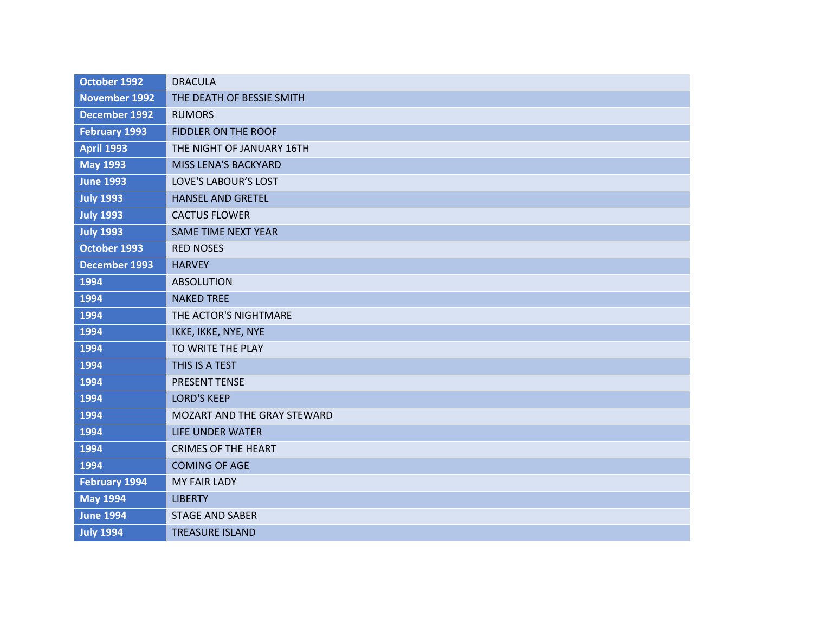| October 1992         | <b>DRACULA</b>              |
|----------------------|-----------------------------|
| <b>November 1992</b> | THE DEATH OF BESSIE SMITH   |
| December 1992        | <b>RUMORS</b>               |
| <b>February 1993</b> | FIDDLER ON THE ROOF         |
| <b>April 1993</b>    | THE NIGHT OF JANUARY 16TH   |
| <b>May 1993</b>      | MISS LENA'S BACKYARD        |
| <b>June 1993</b>     | LOVE'S LABOUR'S LOST        |
| <b>July 1993</b>     | <b>HANSEL AND GRETEL</b>    |
| <b>July 1993</b>     | <b>CACTUS FLOWER</b>        |
| <b>July 1993</b>     | SAME TIME NEXT YEAR         |
| October 1993         | <b>RED NOSES</b>            |
| December 1993        | <b>HARVEY</b>               |
| 1994                 | <b>ABSOLUTION</b>           |
| 1994                 | <b>NAKED TREE</b>           |
| 1994                 | THE ACTOR'S NIGHTMARE       |
| 1994                 | IKKE, IKKE, NYE, NYE        |
| 1994                 | TO WRITE THE PLAY           |
| 1994                 | THIS IS A TEST              |
| 1994                 | <b>PRESENT TENSE</b>        |
| 1994                 | <b>LORD'S KEEP</b>          |
| 1994                 | MOZART AND THE GRAY STEWARD |
| 1994                 | <b>LIFE UNDER WATER</b>     |
| 1994                 | <b>CRIMES OF THE HEART</b>  |
| 1994                 | <b>COMING OF AGE</b>        |
| <b>February 1994</b> | <b>MY FAIR LADY</b>         |
| <b>May 1994</b>      | <b>LIBERTY</b>              |
| <b>June 1994</b>     | <b>STAGE AND SABER</b>      |
| <b>July 1994</b>     | <b>TREASURE ISLAND</b>      |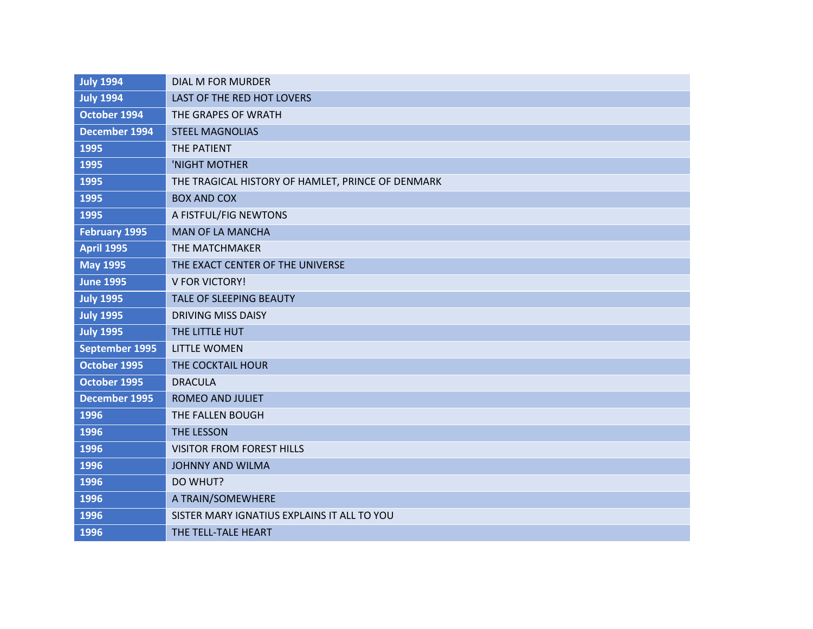| <b>July 1994</b>     | <b>DIAL M FOR MURDER</b>                          |
|----------------------|---------------------------------------------------|
| <b>July 1994</b>     | LAST OF THE RED HOT LOVERS                        |
| October 1994         | THE GRAPES OF WRATH                               |
| December 1994        | <b>STEEL MAGNOLIAS</b>                            |
| 1995                 | THE PATIENT                                       |
| 1995                 | 'NIGHT MOTHER                                     |
| 1995                 | THE TRAGICAL HISTORY OF HAMLET, PRINCE OF DENMARK |
| 1995                 | <b>BOX AND COX</b>                                |
| 1995                 | A FISTFUL/FIG NEWTONS                             |
| <b>February 1995</b> | <b>MAN OF LA MANCHA</b>                           |
| <b>April 1995</b>    | THE MATCHMAKER                                    |
| <b>May 1995</b>      | THE EXACT CENTER OF THE UNIVERSE                  |
| <b>June 1995</b>     | <b>V FOR VICTORY!</b>                             |
| <b>July 1995</b>     | TALE OF SLEEPING BEAUTY                           |
| <b>July 1995</b>     | <b>DRIVING MISS DAISY</b>                         |
| <b>July 1995</b>     | THE LITTLE HUT                                    |
| September 1995       | <b>LITTLE WOMEN</b>                               |
| October 1995         | THE COCKTAIL HOUR                                 |
| October 1995         | <b>DRACULA</b>                                    |
| <b>December 1995</b> | <b>ROMEO AND JULIET</b>                           |
| 1996                 | THE FALLEN BOUGH                                  |
| 1996                 | THE LESSON                                        |
| 1996                 | <b>VISITOR FROM FOREST HILLS</b>                  |
| 1996                 | <b>JOHNNY AND WILMA</b>                           |
| 1996                 | DO WHUT?                                          |
| 1996                 | A TRAIN/SOMEWHERE                                 |
| 1996                 | SISTER MARY IGNATIUS EXPLAINS IT ALL TO YOU       |
| 1996                 | THE TELL-TALE HEART                               |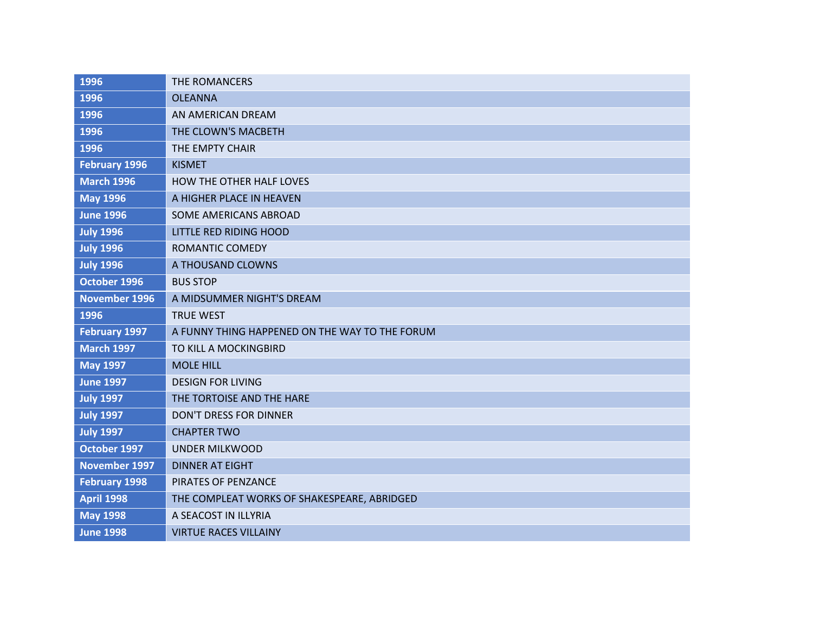| 1996                 | THE ROMANCERS                                  |
|----------------------|------------------------------------------------|
| 1996                 | <b>OLEANNA</b>                                 |
| 1996                 | AN AMERICAN DREAM                              |
| 1996                 | THE CLOWN'S MACBETH                            |
| 1996                 | THE EMPTY CHAIR                                |
| <b>February 1996</b> | <b>KISMET</b>                                  |
| <b>March 1996</b>    | <b>HOW THE OTHER HALF LOVES</b>                |
| <b>May 1996</b>      | A HIGHER PLACE IN HEAVEN                       |
| <b>June 1996</b>     | SOME AMERICANS ABROAD                          |
| <b>July 1996</b>     | <b>LITTLE RED RIDING HOOD</b>                  |
| <b>July 1996</b>     | ROMANTIC COMEDY                                |
| <b>July 1996</b>     | A THOUSAND CLOWNS                              |
| October 1996         | <b>BUS STOP</b>                                |
| November 1996        | A MIDSUMMER NIGHT'S DREAM                      |
| 1996                 | <b>TRUE WEST</b>                               |
| <b>February 1997</b> | A FUNNY THING HAPPENED ON THE WAY TO THE FORUM |
| <b>March 1997</b>    | TO KILL A MOCKINGBIRD                          |
| <b>May 1997</b>      | <b>MOLE HILL</b>                               |
| <b>June 1997</b>     | <b>DESIGN FOR LIVING</b>                       |
| <b>July 1997</b>     | THE TORTOISE AND THE HARE                      |
| <b>July 1997</b>     | DON'T DRESS FOR DINNER                         |
| <b>July 1997</b>     | <b>CHAPTER TWO</b>                             |
| October 1997         | <b>UNDER MILKWOOD</b>                          |
| November 1997        | <b>DINNER AT EIGHT</b>                         |
| <b>February 1998</b> | PIRATES OF PENZANCE                            |
| <b>April 1998</b>    | THE COMPLEAT WORKS OF SHAKESPEARE, ABRIDGED    |
| <b>May 1998</b>      | A SEACOST IN ILLYRIA                           |
| <b>June 1998</b>     | <b>VIRTUE RACES VILLAINY</b>                   |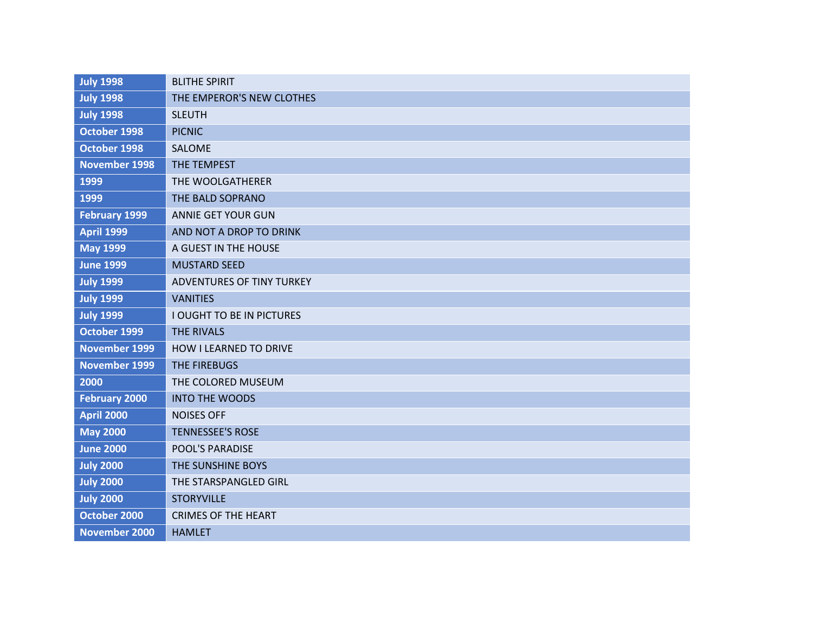| <b>July 1998</b>     | <b>BLITHE SPIRIT</b>             |
|----------------------|----------------------------------|
| <b>July 1998</b>     | THE EMPEROR'S NEW CLOTHES        |
| <b>July 1998</b>     | <b>SLEUTH</b>                    |
| October 1998         | <b>PICNIC</b>                    |
| October 1998         | SALOME                           |
| <b>November 1998</b> | THE TEMPEST                      |
| 1999                 | THE WOOLGATHERER                 |
| 1999                 | THE BALD SOPRANO                 |
| <b>February 1999</b> | ANNIE GET YOUR GUN               |
| <b>April 1999</b>    | AND NOT A DROP TO DRINK          |
| <b>May 1999</b>      | A GUEST IN THE HOUSE             |
| <b>June 1999</b>     | <b>MUSTARD SEED</b>              |
| <b>July 1999</b>     | ADVENTURES OF TINY TURKEY        |
| <b>July 1999</b>     | <b>VANITIES</b>                  |
| <b>July 1999</b>     | <b>I OUGHT TO BE IN PICTURES</b> |
| October 1999         | THE RIVALS                       |
| <b>November 1999</b> | HOW I LEARNED TO DRIVE           |
| <b>November 1999</b> | THE FIREBUGS                     |
| 2000                 | THE COLORED MUSEUM               |
| <b>February 2000</b> | <b>INTO THE WOODS</b>            |
| <b>April 2000</b>    | <b>NOISES OFF</b>                |
| <b>May 2000</b>      | <b>TENNESSEE'S ROSE</b>          |
| <b>June 2000</b>     | <b>POOL'S PARADISE</b>           |
| <b>July 2000</b>     | THE SUNSHINE BOYS                |
| <b>July 2000</b>     | THE STARSPANGLED GIRL            |
| <b>July 2000</b>     | <b>STORYVILLE</b>                |
| October 2000         | <b>CRIMES OF THE HEART</b>       |
| <b>November 2000</b> | <b>HAMLET</b>                    |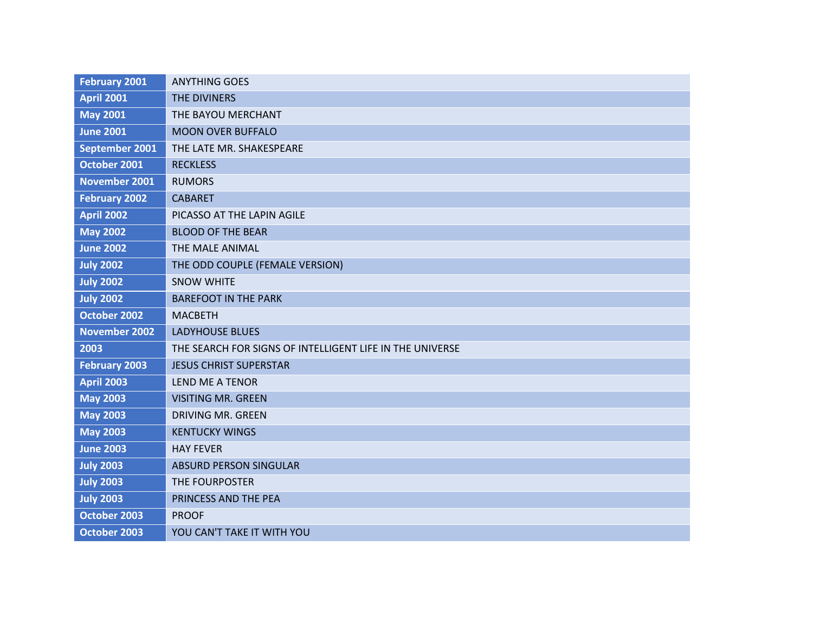| <b>February 2001</b> | <b>ANYTHING GOES</b>                                     |
|----------------------|----------------------------------------------------------|
| <b>April 2001</b>    | THE DIVINERS                                             |
| <b>May 2001</b>      | THE BAYOU MERCHANT                                       |
| <b>June 2001</b>     | <b>MOON OVER BUFFALO</b>                                 |
| September 2001       | THE LATE MR. SHAKESPEARE                                 |
| October 2001         | <b>RECKLESS</b>                                          |
| <b>November 2001</b> | <b>RUMORS</b>                                            |
| <b>February 2002</b> | <b>CABARET</b>                                           |
| <b>April 2002</b>    | PICASSO AT THE LAPIN AGILE                               |
| <b>May 2002</b>      | <b>BLOOD OF THE BEAR</b>                                 |
| <b>June 2002</b>     | THE MALE ANIMAL                                          |
| <b>July 2002</b>     | THE ODD COUPLE (FEMALE VERSION)                          |
| <b>July 2002</b>     | <b>SNOW WHITE</b>                                        |
| <b>July 2002</b>     | <b>BAREFOOT IN THE PARK</b>                              |
| October 2002         | <b>MACBETH</b>                                           |
| <b>November 2002</b> | <b>LADYHOUSE BLUES</b>                                   |
| 2003                 | THE SEARCH FOR SIGNS OF INTELLIGENT LIFE IN THE UNIVERSE |
| <b>February 2003</b> | <b>JESUS CHRIST SUPERSTAR</b>                            |
| <b>April 2003</b>    | LEND ME A TENOR                                          |
| <b>May 2003</b>      | <b>VISITING MR. GREEN</b>                                |
| <b>May 2003</b>      | DRIVING MR. GREEN                                        |
| <b>May 2003</b>      | <b>KENTUCKY WINGS</b>                                    |
| <b>June 2003</b>     | <b>HAY FEVER</b>                                         |
| <b>July 2003</b>     | <b>ABSURD PERSON SINGULAR</b>                            |
| <b>July 2003</b>     | THE FOURPOSTER                                           |
| <b>July 2003</b>     | PRINCESS AND THE PEA                                     |
| October 2003         | <b>PROOF</b>                                             |
| October 2003         | YOU CAN'T TAKE IT WITH YOU                               |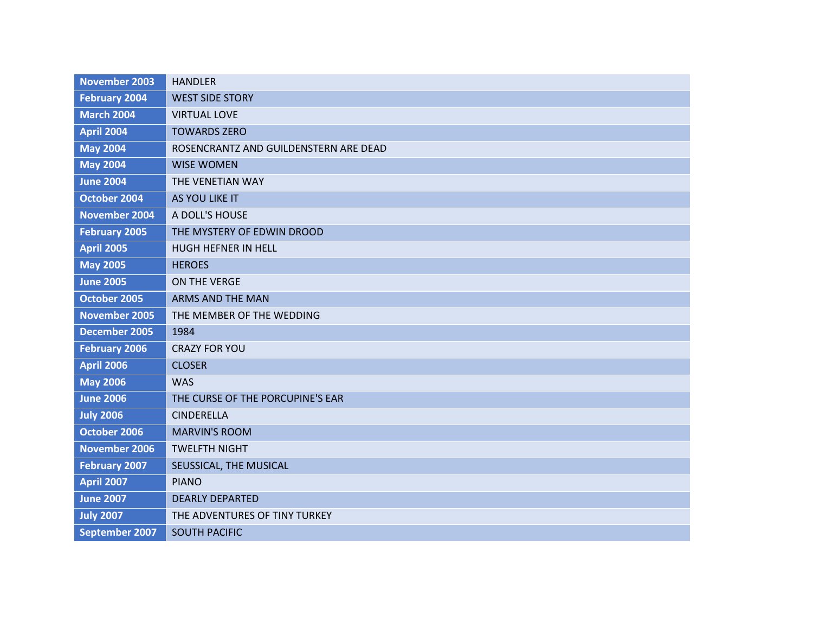| <b>November 2003</b> | <b>HANDLER</b>                        |
|----------------------|---------------------------------------|
| <b>February 2004</b> | <b>WEST SIDE STORY</b>                |
| <b>March 2004</b>    | <b>VIRTUAL LOVE</b>                   |
| <b>April 2004</b>    | <b>TOWARDS ZERO</b>                   |
| <b>May 2004</b>      | ROSENCRANTZ AND GUILDENSTERN ARE DEAD |
| <b>May 2004</b>      | <b>WISE WOMEN</b>                     |
| <b>June 2004</b>     | THE VENETIAN WAY                      |
| October 2004         | AS YOU LIKE IT                        |
| <b>November 2004</b> | A DOLL'S HOUSE                        |
| <b>February 2005</b> | THE MYSTERY OF EDWIN DROOD            |
| <b>April 2005</b>    | <b>HUGH HEFNER IN HELL</b>            |
| <b>May 2005</b>      | <b>HEROES</b>                         |
| <b>June 2005</b>     | ON THE VERGE                          |
| October 2005         | <b>ARMS AND THE MAN</b>               |
| <b>November 2005</b> | THE MEMBER OF THE WEDDING             |
| <b>December 2005</b> | 1984                                  |
| <b>February 2006</b> | <b>CRAZY FOR YOU</b>                  |
| <b>April 2006</b>    | <b>CLOSER</b>                         |
| <b>May 2006</b>      | <b>WAS</b>                            |
| <b>June 2006</b>     | THE CURSE OF THE PORCUPINE'S EAR      |
| <b>July 2006</b>     | <b>CINDERELLA</b>                     |
| October 2006         | <b>MARVIN'S ROOM</b>                  |
| <b>November 2006</b> | <b>TWELFTH NIGHT</b>                  |
| <b>February 2007</b> | SEUSSICAL, THE MUSICAL                |
| <b>April 2007</b>    | <b>PIANO</b>                          |
| <b>June 2007</b>     | <b>DEARLY DEPARTED</b>                |
| <b>July 2007</b>     | THE ADVENTURES OF TINY TURKEY         |
| September 2007       | <b>SOUTH PACIFIC</b>                  |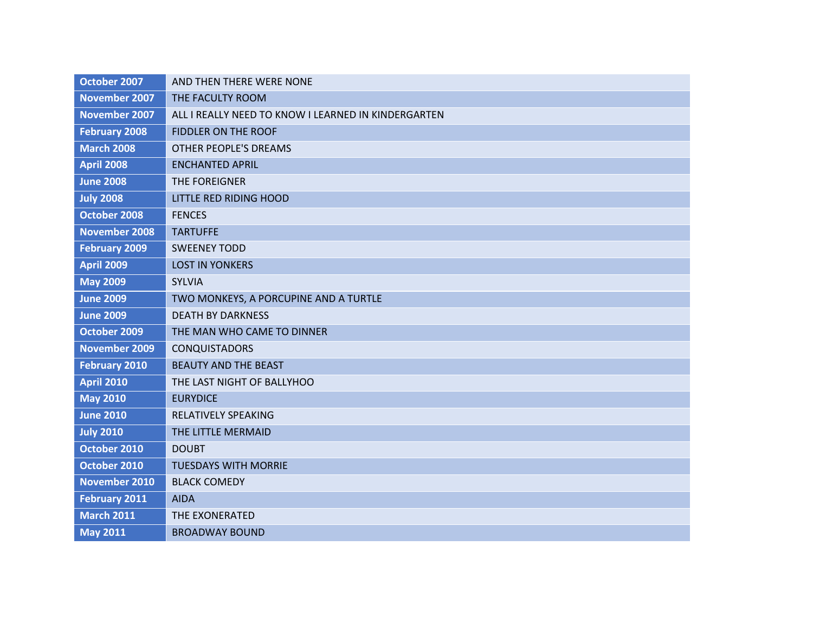| October 2007         | AND THEN THERE WERE NONE                            |
|----------------------|-----------------------------------------------------|
| <b>November 2007</b> | THE FACULTY ROOM                                    |
| <b>November 2007</b> | ALL I REALLY NEED TO KNOW I LEARNED IN KINDERGARTEN |
| <b>February 2008</b> | <b>FIDDLER ON THE ROOF</b>                          |
| <b>March 2008</b>    | <b>OTHER PEOPLE'S DREAMS</b>                        |
| <b>April 2008</b>    | <b>ENCHANTED APRIL</b>                              |
| <b>June 2008</b>     | THE FOREIGNER                                       |
| <b>July 2008</b>     | LITTLE RED RIDING HOOD                              |
| October 2008         | <b>FENCES</b>                                       |
| <b>November 2008</b> | <b>TARTUFFE</b>                                     |
| <b>February 2009</b> | <b>SWEENEY TODD</b>                                 |
| <b>April 2009</b>    | <b>LOST IN YONKERS</b>                              |
| <b>May 2009</b>      | <b>SYLVIA</b>                                       |
| <b>June 2009</b>     | TWO MONKEYS, A PORCUPINE AND A TURTLE               |
| <b>June 2009</b>     | <b>DEATH BY DARKNESS</b>                            |
| October 2009         | THE MAN WHO CAME TO DINNER                          |
| <b>November 2009</b> | <b>CONQUISTADORS</b>                                |
| <b>February 2010</b> | <b>BEAUTY AND THE BEAST</b>                         |
| <b>April 2010</b>    | THE LAST NIGHT OF BALLYHOO                          |
| <b>May 2010</b>      | <b>EURYDICE</b>                                     |
| <b>June 2010</b>     | <b>RELATIVELY SPEAKING</b>                          |
| <b>July 2010</b>     | THE LITTLE MERMAID                                  |
| October 2010         | <b>DOUBT</b>                                        |
| October 2010         | <b>TUESDAYS WITH MORRIE</b>                         |
| <b>November 2010</b> | <b>BLACK COMEDY</b>                                 |
| <b>February 2011</b> | <b>AIDA</b>                                         |
| <b>March 2011</b>    | THE EXONERATED                                      |
| <b>May 2011</b>      | <b>BROADWAY BOUND</b>                               |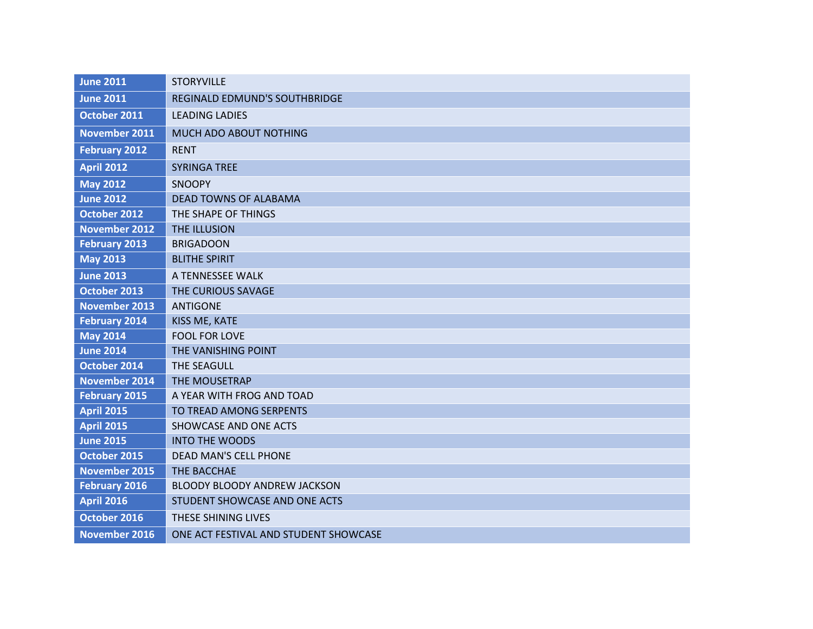| <b>June 2011</b>     | <b>STORYVILLE</b>                     |
|----------------------|---------------------------------------|
| <b>June 2011</b>     | <b>REGINALD EDMUND'S SOUTHBRIDGE</b>  |
| October 2011         | <b>LEADING LADIES</b>                 |
| November 2011        | MUCH ADO ABOUT NOTHING                |
| <b>February 2012</b> | <b>RENT</b>                           |
| <b>April 2012</b>    | <b>SYRINGA TREE</b>                   |
| <b>May 2012</b>      | <b>SNOOPY</b>                         |
| <b>June 2012</b>     | DEAD TOWNS OF ALABAMA                 |
| October 2012         | THE SHAPE OF THINGS                   |
| <b>November 2012</b> | THE ILLUSION                          |
| <b>February 2013</b> | <b>BRIGADOON</b>                      |
| <b>May 2013</b>      | <b>BLITHE SPIRIT</b>                  |
| <b>June 2013</b>     | A TENNESSEE WALK                      |
| October 2013         | THE CURIOUS SAVAGE                    |
| <b>November 2013</b> | <b>ANTIGONE</b>                       |
| <b>February 2014</b> | KISS ME, KATE                         |
| <b>May 2014</b>      | <b>FOOL FOR LOVE</b>                  |
| <b>June 2014</b>     | THE VANISHING POINT                   |
| October 2014         | THE SEAGULL                           |
| <b>November 2014</b> | THE MOUSETRAP                         |
| <b>February 2015</b> | A YEAR WITH FROG AND TOAD             |
| <b>April 2015</b>    | TO TREAD AMONG SERPENTS               |
| <b>April 2015</b>    | SHOWCASE AND ONE ACTS                 |
| <b>June 2015</b>     | <b>INTO THE WOODS</b>                 |
| October 2015         | DEAD MAN'S CELL PHONE                 |
| November 2015        | THE BACCHAE                           |
| <b>February 2016</b> | <b>BLOODY BLOODY ANDREW JACKSON</b>   |
| <b>April 2016</b>    | STUDENT SHOWCASE AND ONE ACTS         |
| October 2016         | THESE SHINING LIVES                   |
| <b>November 2016</b> | ONE ACT FESTIVAL AND STUDENT SHOWCASE |